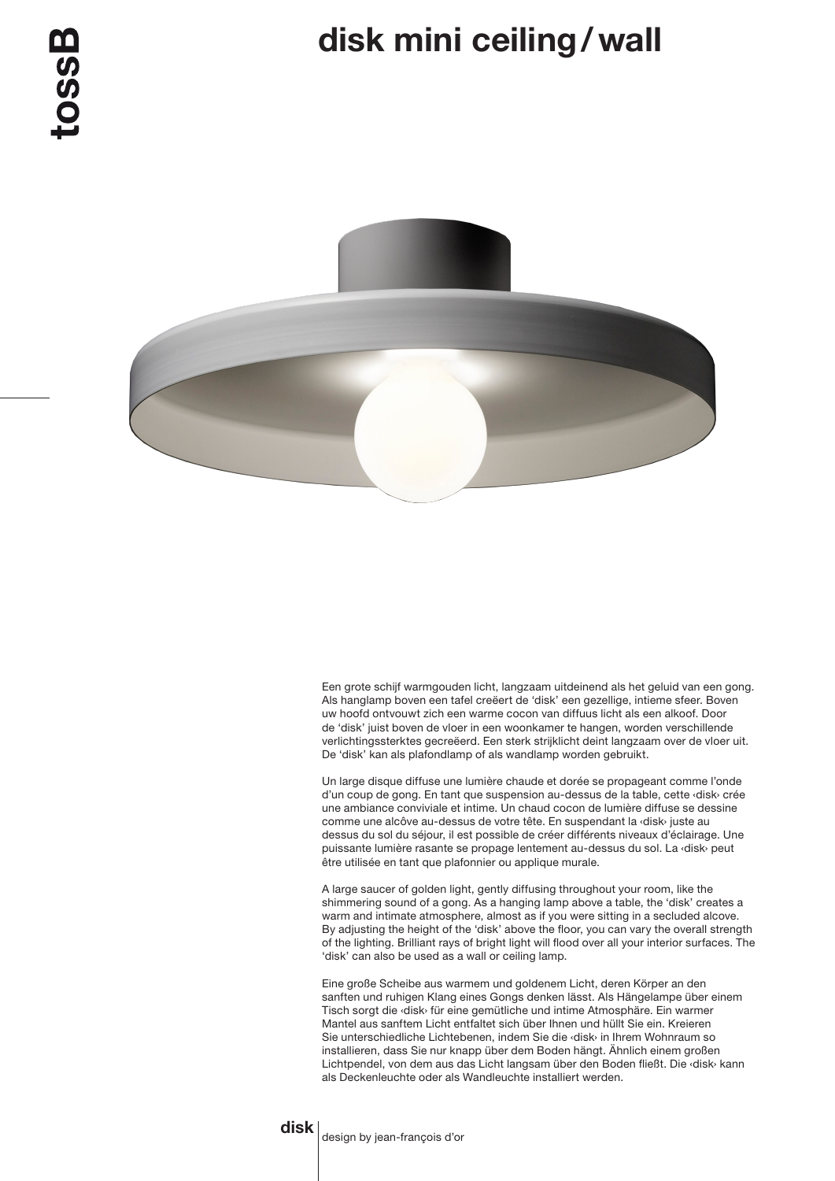## disk mini ceiling/wall



Een grote schijf warmgouden licht, langzaam uitdeinend als het geluid van een gong. Als hanglamp boven een tafel creëert de 'disk' een gezellige, intieme sfeer. Boven uw hoofd ontvouwt zich een warme cocon van diffuus licht als een alkoof. Door de 'disk' juist boven de vloer in een woonkamer te hangen, worden verschillende verlichtingssterktes gecreëerd. Een sterk strijklicht deint langzaam over de vloer uit. De 'disk' kan als plafondlamp of als wandlamp worden gebruikt.

Un large disque diffuse une lumière chaude et dorée se propageant comme l'onde d'un coup de gong. En tant que suspension au-dessus de la table, cette ‹disk› crée une ambiance conviviale et intime. Un chaud cocon de lumière diffuse se dessine comme une alcôve au-dessus de votre tête. En suspendant la ‹disk› juste au dessus du sol du séjour, il est possible de créer différents niveaux d'éclairage. Une puissante lumière rasante se propage lentement au-dessus du sol. La ‹disk› peut être utilisée en tant que plafonnier ou applique murale.

A large saucer of golden light, gently diffusing throughout your room, like the shimmering sound of a gong. As a hanging lamp above a table, the 'disk' creates a warm and intimate atmosphere, almost as if you were sitting in a secluded alcove. By adjusting the height of the 'disk' above the floor, you can vary the overall strength of the lighting. Brilliant rays of bright light will flood over all your interior surfaces. The 'disk' can also be used as a wall or ceiling lamp.

Eine große Scheibe aus warmem und goldenem Licht, deren Körper an den sanften und ruhigen Klang eines Gongs denken lässt. Als Hängelampe über einem Tisch sorgt die ‹disk› für eine gemütliche und intime Atmosphäre. Ein warmer Mantel aus sanftem Licht entfaltet sich über Ihnen und hüllt Sie ein. Kreieren Sie unterschiedliche Lichtebenen, indem Sie die ‹disk› in Ihrem Wohnraum so installieren, dass Sie nur knapp über dem Boden hängt. Ähnlich einem großen Lichtpendel, von dem aus das Licht langsam über den Boden fließt. Die ‹disk› kann als Deckenleuchte oder als Wandleuchte installiert werden.